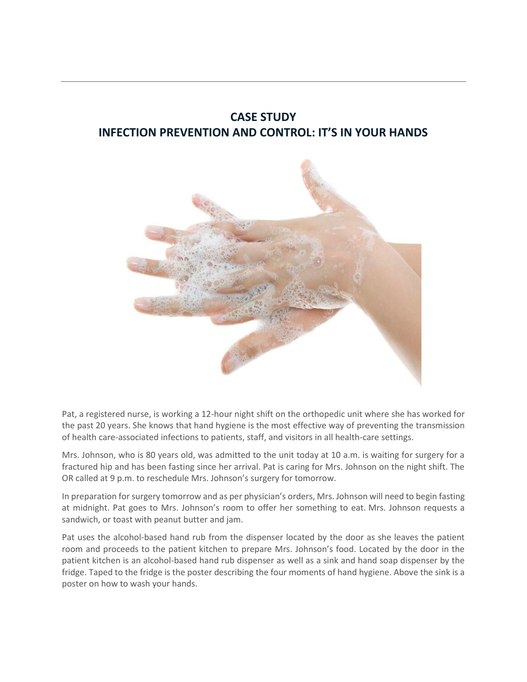## **CASE STUDY INFECTION PREVENTION AND CONTROL: IT'S IN YOUR HANDS**



Pat, a registered nurse, is working a 12-hour night shift on the orthopedic unit where she has worked for the past 20 years. She knows that hand hygiene is the most effective way of preventing the transmission of health care-associated infections to patients, staff, and visitors in all health-care settings.

Mrs. Johnson, who is 80 years old, was admitted to the unit today at 10 a.m. is waiting for surgery for a fractured hip and has been fasting since her arrival. Pat is caring for Mrs. Johnson on the night shift. The OR called at 9 p.m. to reschedule Mrs. Johnson's surgery for tomorrow.

In preparation for surgery tomorrow and as per physician's orders, Mrs. Johnson will need to begin fasting at midnight. Pat goes to Mrs. Johnson's room to offer her something to eat. Mrs. Johnson requests a sandwich, or toast with peanut butter and jam.

Pat uses the alcohol-based hand rub from the dispenser located by the door as she leaves the patient room and proceeds to the patient kitchen to prepare Mrs. Johnson's food. Located by the door in the patient kitchen is an alcohol-based hand rub dispenser as well as a sink and hand soap dispenser by the fridge. Taped to the fridge is the poster describing the four moments of hand hygiene. Above the sink is a poster on how to wash your hands.